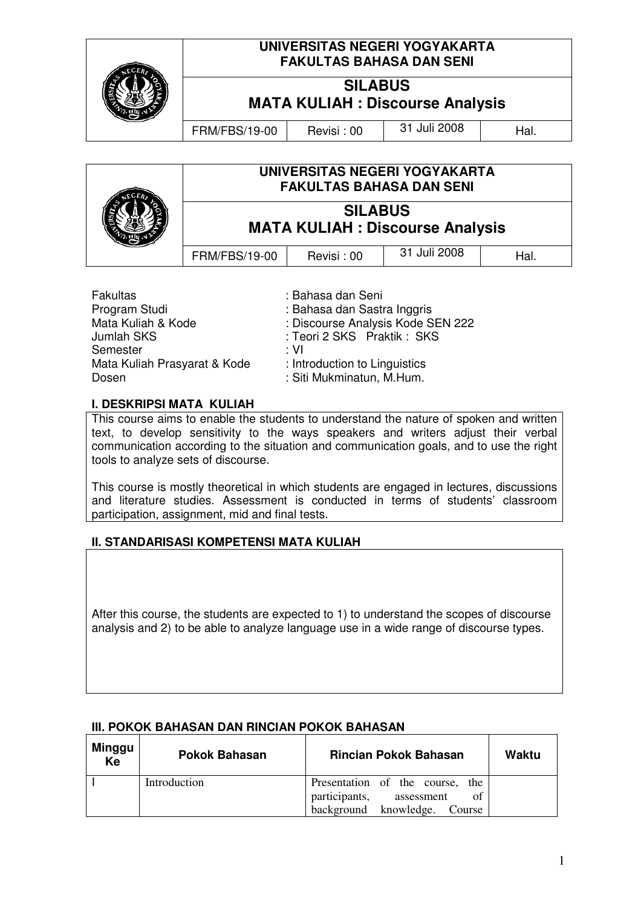|  | UNIVERSITAS NEGERI YOGYAKARTA<br><b>FAKULTAS BAHASA DAN SENI</b> |            |              |      |
|--|------------------------------------------------------------------|------------|--------------|------|
|  | <b>SILABUS</b><br><b>MATA KULIAH : Discourse Analysis</b>        |            |              |      |
|  | <b>FRM/FBS/19-00</b>                                             | Revisi: 00 | 31 Juli 2008 | Hal. |
|  |                                                                  |            |              |      |
|  | UNIVERSITAS NEGERI YOGYAKARTA                                    |            |              |      |

| <b>FAKULTAS BAHASA DAN SENI</b>                           |            |              |     |
|-----------------------------------------------------------|------------|--------------|-----|
| <b>SILABUS</b><br><b>MATA KULIAH : Discourse Analysis</b> |            |              |     |
| <b>FRM/FBS/19-00</b>                                      | Revisi: 00 | 31 Juli 2008 | Hal |

| Fakultas                     | : Bahasa dan Seni                 |
|------------------------------|-----------------------------------|
| Program Studi                | : Bahasa dan Sastra Inggris       |
| Mata Kuliah & Kode           | : Discourse Analysis Kode SEN 222 |
| Jumlah SKS                   | : Teori 2 SKS Praktik: SKS        |
| Semester                     | : VI                              |
| Mata Kuliah Prasyarat & Kode | : Introduction to Linguistics     |
| Dosen                        | : Siti Mukminatun, M.Hum.         |

#### **I. DESKRIPSI MATA KULIAH**

This course aims to enable the students to understand the nature of spoken and written text, to develop sensitivity to the ways speakers and writers adjust their verbal communication according to the situation and communication goals, and to use the right tools to analyze sets of discourse.

This course is mostly theoretical in which students are engaged in lectures, discussions and literature studies. Assessment is conducted in terms of students' classroom participation, assignment, mid and final tests.

#### **II. STANDARISASI KOMPETENSI MATA KULIAH**

After this course, the students are expected to 1) to understand the scopes of discourse analysis and 2) to be able to analyze language use in a wide range of discourse types.

#### **III. POKOK BAHASAN DAN RINCIAN POKOK BAHASAN**

| Minggu<br>Ke | <b>Pokok Bahasan</b> | <b>Rincian Pokok Bahasan</b>                                                                            | Waktu |
|--------------|----------------------|---------------------------------------------------------------------------------------------------------|-------|
|              | Introduction         | Presentation of the course, the<br>participants,<br>of<br>assessment<br>background knowledge.<br>Course |       |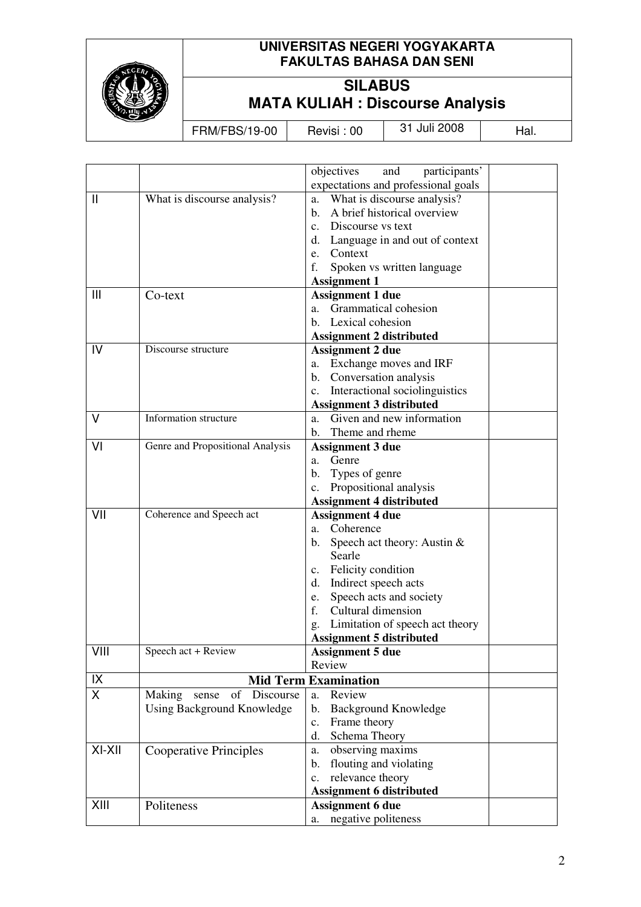

 $\mathbf{r}$ 

# **UNIVERSITAS NEGERI YOGYAKARTA FAKULTAS BAHASA DAN SENI**

# **SILABUS MATA KULIAH : Discourse Analysis**

FRM/FBS/19-00 Revisi : 00 31 Juli 2008 Hal.

|               |                                  | objectives<br>participants'<br>and                   |  |  |
|---------------|----------------------------------|------------------------------------------------------|--|--|
|               |                                  | expectations and professional goals                  |  |  |
| $\mathbf{  }$ | What is discourse analysis?      | What is discourse analysis?<br>a.                    |  |  |
|               |                                  | A brief historical overview<br>$\mathbf{b}$ .        |  |  |
|               |                                  | c. Discourse vs text                                 |  |  |
|               |                                  | d.<br>Language in and out of context                 |  |  |
|               |                                  | e. Context                                           |  |  |
|               |                                  | f.<br>Spoken vs written language                     |  |  |
|               |                                  | <b>Assignment 1</b>                                  |  |  |
| Ш             | Co-text                          | <b>Assignment 1 due</b>                              |  |  |
|               |                                  | Grammatical cohesion<br>a.                           |  |  |
|               |                                  | Lexical cohesion<br>b.                               |  |  |
|               |                                  | <b>Assignment 2 distributed</b>                      |  |  |
| IV            | Discourse structure              | <b>Assignment 2 due</b>                              |  |  |
|               |                                  | Exchange moves and IRF<br>a.                         |  |  |
|               |                                  | Conversation analysis<br>$\mathbf{b}$ .              |  |  |
|               |                                  | Interactional sociolinguistics<br>c.                 |  |  |
|               |                                  | <b>Assignment 3 distributed</b>                      |  |  |
| V             | Information structure            | Given and new information<br>a.                      |  |  |
|               |                                  | Theme and rheme<br>$\mathbf{b}$ .                    |  |  |
| VI            | Genre and Propositional Analysis | <b>Assignment 3 due</b>                              |  |  |
|               |                                  | Genre<br>a.                                          |  |  |
|               |                                  | b.<br>Types of genre                                 |  |  |
|               |                                  | Propositional analysis<br>$\mathbf{c}$ .             |  |  |
|               |                                  | <b>Assignment 4 distributed</b>                      |  |  |
| VII           | Coherence and Speech act         | <b>Assignment 4 due</b>                              |  |  |
|               |                                  | a. Coherence                                         |  |  |
|               |                                  | Speech act theory: Austin $&$<br>b.                  |  |  |
|               |                                  | Searle                                               |  |  |
|               |                                  | c. Felicity condition                                |  |  |
|               |                                  | Indirect speech acts<br>d.                           |  |  |
|               |                                  | Speech acts and society<br>e.                        |  |  |
|               |                                  | f.<br>Cultural dimension                             |  |  |
|               |                                  | Limitation of speech act theory<br>g.                |  |  |
|               |                                  | <b>Assignment 5 distributed</b>                      |  |  |
| VIII          | Speech act + Review              | <b>Assignment 5 due</b>                              |  |  |
|               |                                  | Review                                               |  |  |
| IX            | <b>Mid Term Examination</b>      |                                                      |  |  |
| X.            | Making sense<br>of Discourse     | Review<br>a.                                         |  |  |
|               |                                  |                                                      |  |  |
|               |                                  |                                                      |  |  |
|               | Using Background Knowledge       | <b>Background Knowledge</b><br>$\mathbf{b}$ .        |  |  |
|               |                                  | Frame theory<br>c.                                   |  |  |
|               |                                  | d. Schema Theory                                     |  |  |
| XI-XII        | <b>Cooperative Principles</b>    | observing maxims<br>a.                               |  |  |
|               |                                  | flouting and violating<br>b.                         |  |  |
|               |                                  | relevance theory<br>$\mathbf{c}$ .                   |  |  |
|               |                                  | <b>Assignment 6 distributed</b>                      |  |  |
| XIII          | Politeness                       | <b>Assignment 6 due</b><br>negative politeness<br>a. |  |  |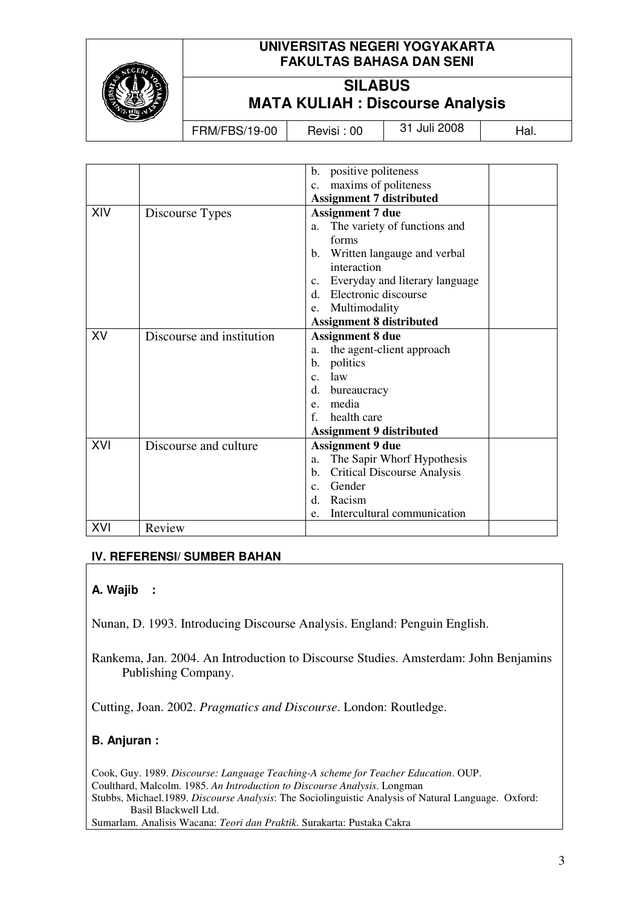

# **UNIVERSITAS NEGERI YOGYAKARTA FAKULTAS BAHASA DAN SENI**

# **SILABUS MATA KULIAH : Discourse Analysis**

FRM/FBS/19-00 Revisi : 00 31 Juli 2008 Hal.

|     |                           | positive politeness<br>b.                            |  |
|-----|---------------------------|------------------------------------------------------|--|
|     |                           | maxims of politeness<br>$c_{\cdot}$                  |  |
|     |                           | <b>Assignment 7 distributed</b>                      |  |
| XIV | Discourse Types           | <b>Assignment 7 due</b>                              |  |
|     |                           | The variety of functions and<br>a.                   |  |
|     |                           | forms                                                |  |
|     |                           | Written langauge and verbal<br>b.                    |  |
|     |                           | interaction                                          |  |
|     |                           | Everyday and literary language<br>$C_{\bullet}$      |  |
|     |                           | Electronic discourse<br>$d_{-}$                      |  |
|     |                           | Multimodality<br>e.                                  |  |
|     |                           | <b>Assignment 8 distributed</b>                      |  |
| XV  | Discourse and institution | <b>Assignment 8 due</b>                              |  |
|     |                           | the agent-client approach<br>a.                      |  |
|     |                           | politics<br>$\mathbf{b}$ .                           |  |
|     |                           | law<br>C <sub>1</sub>                                |  |
|     |                           | d.<br>bureaucracy                                    |  |
|     |                           | media<br>e.                                          |  |
|     |                           | health care<br>f                                     |  |
|     |                           | <b>Assignment 9 distributed</b>                      |  |
| XVI | Discourse and culture     | <b>Assignment 9 due</b>                              |  |
|     |                           | The Sapir Whorf Hypothesis<br>a.                     |  |
|     |                           | <b>Critical Discourse Analysis</b><br>$\mathbf{b}$ . |  |
|     |                           | Gender<br>$c_{\cdot}$                                |  |
|     |                           | Racism<br>d.                                         |  |
|     |                           | Intercultural communication<br>e.                    |  |
| XVI | Review                    |                                                      |  |

# **IV. REFERENSI/ SUMBER BAHAN**

# **A. Wajib :**

Nunan, D. 1993. Introducing Discourse Analysis. England: Penguin English.

Rankema, Jan. 2004. An Introduction to Discourse Studies. Amsterdam: John Benjamins Publishing Company.

Cutting, Joan. 2002. *Pragmatics and Discourse*. London: Routledge.

# **B. Anjuran :**

Cook, Guy. 1989. *Discourse: Language Teaching-A scheme for Teacher Education*. OUP. Coulthard, Malcolm. 1985. *An Introduction to Discourse Analysis*. Longman Stubbs, Michael.1989. *Discourse Analysis*: The Sociolinguistic Analysis of Natural Language. Oxford: Basil Blackwell Ltd. Sumarlam. Analisis Wacana: *Teori dan Praktik*. Surakarta: Pustaka Cakra